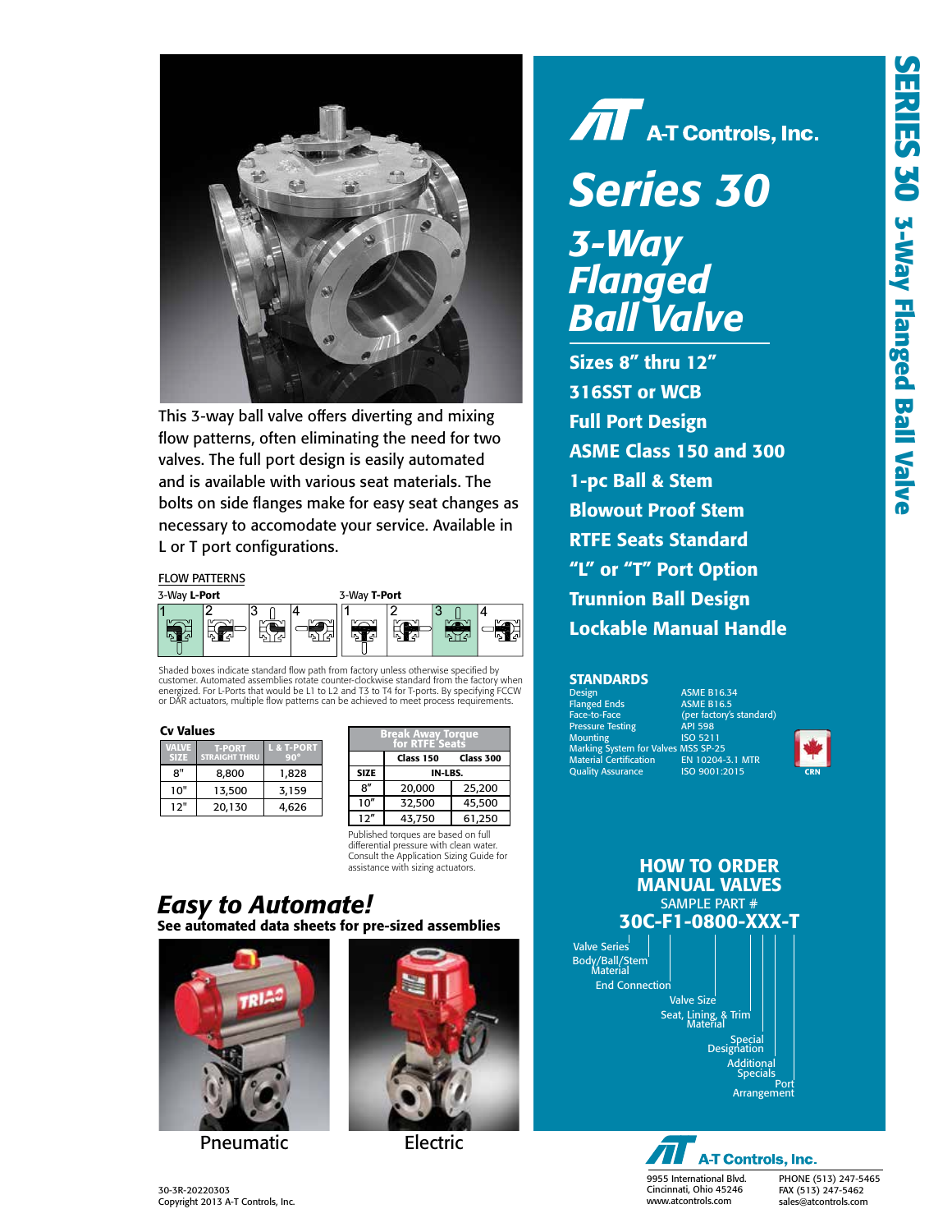

flow patterns, often eliminating the need for two valves. The full port design is easily automated and is available with various seat materials. The bolts on side flanges make for easy seat changes as necessary to accomodate your service. Available in L or T port configurations. Available in L or T port configurations. This 3-way ball valve offers diverting and mixing

## FLOW PATTERNS



energized. For L-Ports that would be L1 to L2 and 13 to 14 for 1-ports. By specifying FCC<br>or DAR actuators, multiple flow patterns can be achieved to meet process requirements. g F( Shaded boxes indicate standard flow path from factory unless otherwise specified by<br>customer. Automated assemblies rotate counter-clockwise standard from the factory when<br>energized. For L-Ports that would be L1 to L2 and T Shaded boxes indicate standard flow path from factory unless otherwise specified by

| $V^{\dagger}$ ( $V^{\dagger}$ ) | <b>T-PORT</b><br><b>STRAIGHT THRU</b> | & T-PORT<br>$90^\circ$ |
|---------------------------------|---------------------------------------|------------------------|
| 8"                              | 8.800                                 | 1,828                  |
| 10"                             | 13,500                                | 3,159                  |
| 12"                             | 20.130                                | 4.626                  |

| Cv Values                           |                      |            | <b>Break Away Torque<br/>for RTFE Seats</b> |             |           |           |  |  |
|-------------------------------------|----------------------|------------|---------------------------------------------|-------------|-----------|-----------|--|--|
| <b>VALVE</b>                        | <b>T-PORT</b>        | L & T-PORT |                                             |             |           |           |  |  |
| <b>SIZE</b>                         | <b>STRAIGHT THRU</b> | $90^\circ$ |                                             |             | Class 150 | Class 300 |  |  |
| 8"                                  | 8.800                | 1,828      |                                             | <b>SIZE</b> | IN-LBS.   |           |  |  |
| 10"                                 | 13.500               | 3,159      |                                             | 8″          | 20,000    | 25,200    |  |  |
| 12"                                 | 20,130               | 4,626      |                                             | 10''        | 32,500    | 45,500    |  |  |
|                                     |                      |            |                                             | 12"         | 43,750    | 61,250    |  |  |
| Published torques are based on full |                      |            |                                             |             |           |           |  |  |

<sup>10&</sup>quot; 13,500 3,159 Consult the Application Sizing Guide for<br>assistance with sizing actuators. Published torques are based on full differential pressure with clean water.

## See automated data sheets for pre-sized assemblies *Easy to Automate!*



Pneumatic Electric



## $\boldsymbol{\widehat{M}}$  A-T Controls, Inc. *Series 30 Series 30 3-Way 3-Way Flanged* **Ball Valv** *Ball Valve*

*Ball Valve* Sizes 8" thru 12" 316SST or WCB **Full Port Design** ASME Class 150 and 300 1-pc Ball & Stem **Blowout Proof Stem RTFE Seats Standard** "L" or "T" Port Option Trunnion Ball Design Lockable Manual Handle

### **STANDARDS**

| <b>Design</b>                       | <b>ASME B16.34</b>       |
|-------------------------------------|--------------------------|
| <b>Flanged Ends</b>                 | <b>ASME B16.5</b>        |
| Face-to-Face                        | (per factory's standard) |
| <b>Pressure Testing</b>             | <b>API 598</b>           |
| Mounting                            | <b>ISO 5211</b>          |
| Marking System for Valves MSS SP-25 |                          |
|                                     |                          |
| <b>Quality Assurance</b>            | ISO 9001:2015            |
| <b>Material Certification</b>       | EN 10204-3.1 MTR         |







FAX (513) 247-5462 sales@atcontrols.com PHONE (513) 247-5465